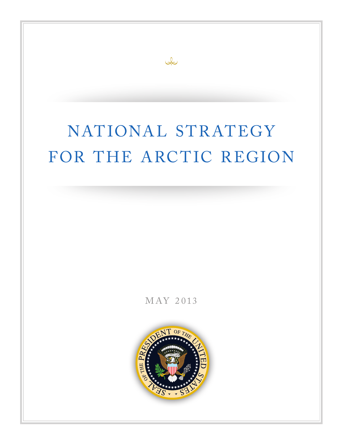# NATIONAL STRATEGY FOR THE ARCTIC REGION

 $\infty$ 

MAY 2013

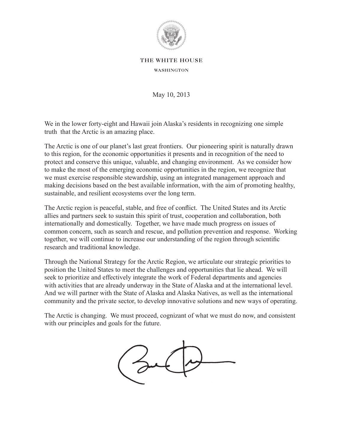

#### THE WHITE HOUSE **WASHINGTON**

May 10, 2013

We in the lower forty-eight and Hawaii join Alaska's residents in recognizing one simple truth that the Arctic is an amazing place.

The Arctic is one of our planet's last great frontiers. Our pioneering spirit is naturally drawn to this region, for the economic opportunities it presents and in recognition of the need to protect and conserve this unique, valuable, and changing environment. As we consider how to make the most of the emerging economic opportunities in the region, we recognize that we must exercise responsible stewardship, using an integrated management approach and making decisions based on the best available information, with the aim of promoting healthy, sustainable, and resilient ecosystems over the long term.

The Arctic region is peaceful, stable, and free of conflict. The United States and its Arctic allies and partners seek to sustain this spirit of trust, cooperation and collaboration, both internationally and domestically. Together, we have made much progress on issues of common concern, such as search and rescue, and pollution prevention and response. Working together, we will continue to increase our understanding of the region through scientific research and traditional knowledge.

Through the National Strategy for the Arctic Region, we articulate our strategic priorities to position the United States to meet the challenges and opportunities that lie ahead. We will seek to prioritize and effectively integrate the work of Federal departments and agencies with activities that are already underway in the State of Alaska and at the international level. And we will partner with the State of Alaska and Alaska Natives, as well as the international community and the private sector, to develop innovative solutions and new ways of operating.

The Arctic is changing. We must proceed, cognizant of what we must do now, and consistent with our principles and goals for the future.

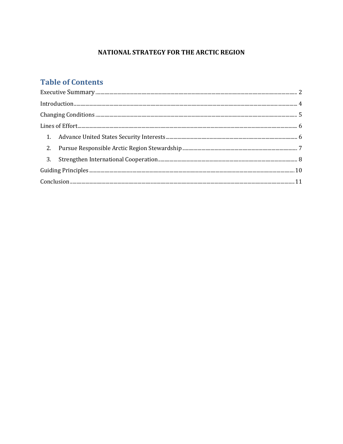# NATIONAL STRATEGY FOR THE ARCTIC REGION

# **Table of Contents**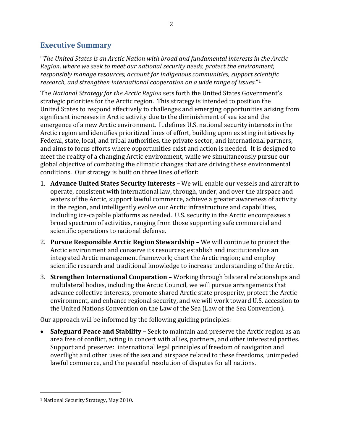# <span id="page-3-0"></span>**Executive Summary**

"*The United States is an Arctic Nation with broad and fundamental interests in the Arctic Region, where we seek to meet our national security needs, protect the environment, responsibly manage resources, account for indigenous communities, support scientific research, and strengthen international cooperation on a wide range of issues*."[1](#page-3-1)

The *National Strategy for the Arctic Region* sets forth the United States Government's strategic priorities for the Arctic region. This strategy is intended to position the United States to respond effectively to challenges and emerging opportunities arising from significant increases in Arctic activity due to the diminishment of sea ice and the emergence of a new Arctic environment. It defines U.S. national security interests in the Arctic region and identifies prioritized lines of effort, building upon existing initiatives by Federal, state, local, and tribal authorities, the private sector, and international partners, and aims to focus efforts where opportunities exist and action is needed. It is designed to meet the reality of a changing Arctic environment, while we simultaneously pursue our global objective of combating the climatic changes that are driving these environmental conditions. Our strategy is built on three lines of effort:

- 1. **Advance United States Security Interests –** We will enable our vessels and aircraft to operate, consistent with international law, through, under, and over the airspace and waters of the Arctic, support lawful commerce, achieve a greater awareness of activity in the region, and intelligently evolve our Arctic infrastructure and capabilities, including ice-capable platforms as needed. U.S. security in the Arctic encompasses a broad spectrum of activities, ranging from those supporting safe commercial and scientific operations to national defense.
- 2. **Pursue Responsible Arctic Region Stewardship –** We will continue to protect the Arctic environment and conserve its resources; establish and institutionalize an integrated Arctic management framework; chart the Arctic region; and employ scientific research and traditional knowledge to increase understanding of the Arctic.
- 3. **Strengthen International Cooperation –** Working through bilateral relationships and multilateral bodies, including the Arctic Council, we will pursue arrangements that advance collective interests, promote shared Arctic state prosperity, protect the Arctic environment, and enhance regional security, and we will work toward U.S. accession to the United Nations Convention on the Law of the Sea (Law of the Sea Convention).

Our approach will be informed by the following guiding principles:

• **Safeguard Peace and Stability –** Seek to maintain and preserve the Arctic region as an area free of conflict, acting in concert with allies, partners, and other interested parties. Support and preserve: international legal principles of freedom of navigation and overflight and other uses of the sea and airspace related to these freedoms, unimpeded lawful commerce, and the peaceful resolution of disputes for all nations.

l

<span id="page-3-1"></span><sup>1</sup> National Security Strategy, May 2010.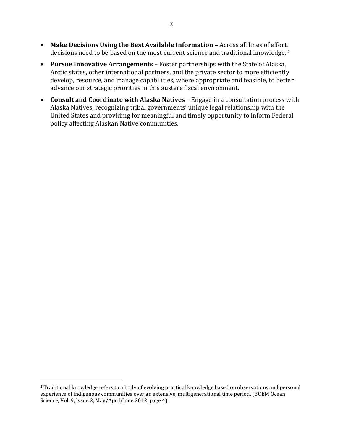- **Make Decisions Using the Best Available Information –** Across all lines of effort[,](#page-4-0)  decisions need to be based on the most current science and traditional knowledge. <sup>2</sup>
- **Pursue Innovative Arrangements** Foster partnerships with the State of Alaska, Arctic states, other international partners, and the private sector to more efficiently develop, resource, and manage capabilities, where appropriate and feasible, to better advance our strategic priorities in this austere fiscal environment.
- **Consult and Coordinate with Alaska Natives –** Engage in a consultation process with Alaska Natives, recognizing tribal governments' unique legal relationship with the United States and providing for meaningful and timely opportunity to inform Federal policy affecting Alaskan Native communities.

l

<span id="page-4-0"></span><sup>2</sup> Traditional knowledge refers to a body of evolving practical knowledge based on observations and personal experience of indigenous communities over an extensive, multigenerational time period. (BOEM Ocean Science, Vol. 9, Issue 2, May/April/June 2012, page 4).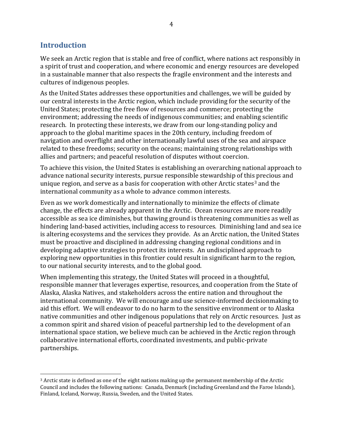## <span id="page-5-0"></span>**Introduction**

l

We seek an Arctic region that is stable and free of conflict, where nations act responsibly in a spirit of trust and cooperation, and where economic and energy resources are developed in a sustainable manner that also respects the fragile environment and the interests and cultures of indigenous peoples.

As the United States addresses these opportunities and challenges, we will be guided by our central interests in the Arctic region, which include providing for the security of the United States; protecting the free flow of resources and commerce; protecting the environment; addressing the needs of indigenous communities; and enabling scientific research. In protecting these interests, we draw from our long-standing policy and approach to the global maritime spaces in the 20th century, including freedom of navigation and overflight and other internationally lawful uses of the sea and airspace related to these freedoms; security on the oceans; maintaining strong relationships with allies and partners; and peaceful resolution of disputes without coercion.

To achieve this vision, the United States is establishing an overarching national approach to advance national security interests, pursue responsible stewardship of thi[s p](#page-5-1)recious and unique region, and serve as a basis for cooperation with other Arctic states<sup>3</sup> and the international community as a whole to advance common interests.

Even as we work domestically and internationally to minimize the effects of climate change, the effects are already apparent in the Arctic. Ocean resources are more readily accessible as sea ice diminishes, but thawing ground is threatening communities as well as hindering land-based activities, including access to resources. Diminishing land and sea ice is altering ecosystems and the services they provide. As an Arctic nation, the United States must be proactive and disciplined in addressing changing regional conditions and in developing adaptive strategies to protect its interests. An undisciplined approach to exploring new opportunities in this frontier could result in significant harm to the region, to our national security interests, and to the global good.

When implementing this strategy, the United States will proceed in a thoughtful, responsible manner that leverages expertise, resources, and cooperation from the State of Alaska, Alaska Natives, and stakeholders across the entire nation and throughout the international community. We will encourage and use science-informed decisionmaking to aid this effort. We will endeavor to do no harm to the sensitive environment or to Alaska native communities and other indigenous populations that rely on Arctic resources. Just as a common spirit and shared vision of peaceful partnership led to the development of an international space station, we believe much can be achieved in the Arctic region through collaborative international efforts, coordinated investments, and public-private partnerships.

<span id="page-5-1"></span><sup>3</sup> Arctic state is defined as one of the eight nations making up the permanent membership of the Arctic Council and includes the following nations: Canada, Denmark (including Greenland and the Faroe Islands), Finland, Iceland, Norway, Russia, Sweden, and the United States.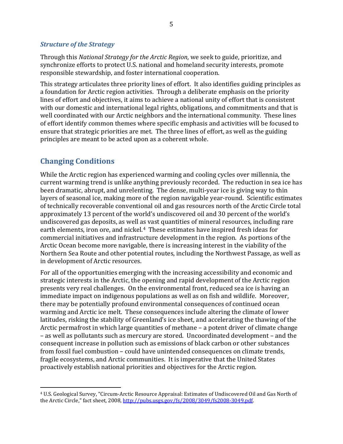#### *Structure of the Strategy*

Through this *National Strategy for the Arctic Region,* we seek to guide, prioritize, and synchronize efforts to protect U.S. national and homeland security interests, promote responsible stewardship, and foster international cooperation.

This strategy articulates three priority lines of effort. It also identifies guiding principles as a foundation for Arctic region activities. Through a deliberate emphasis on the priority lines of effort and objectives, it aims to achieve a national unity of effort that is consistent with our domestic and international legal rights, obligations, and commitments and that is well coordinated with our Arctic neighbors and the international community. These lines of effort identify common themes where specific emphasis and activities will be focused to ensure that strategic priorities are met. The three lines of effort, as well as the guiding principles are meant to be acted upon as a coherent whole.

# <span id="page-6-0"></span>**Changing Conditions**

l

While the Arctic region has experienced warming and cooling cycles over millennia, the current warming trend is unlike anything previously recorded. The reduction in sea ice has been dramatic, abrupt, and unrelenting. The dense, multi-year ice is giving way to thin layers of seasonal ice, making more of the region navigable year-round. Scientific estimates of technically recoverable conventional oil and gas resources north of the Arctic Circle total approximately 13 percent of the world's undiscovered oil and 30 percent of the world's undiscovered gas deposits, as well as vast quantities of mineral resources, including rare earth elements, iron ore, and nickel.<sup>[4](#page-6-1)</sup> These estimates have inspired fresh ideas for commercial initiatives and infrastructure development in the region. As portions of the Arctic Ocean become more navigable, there is increasing interest in the viability of the Northern Sea Route and other potential routes, including the Northwest Passage, as well as in development of Arctic resources.

For all of the opportunities emerging with the increasing accessibility and economic and strategic interests in the Arctic, the opening and rapid development of the Arctic region presents very real challenges. On the environmental front, reduced sea ice is having an immediate impact on indigenous populations as well as on fish and wildlife. Moreover, there may be potentially profound environmental consequences of continued ocean warming and Arctic ice melt. These consequences include altering the climate of lower latitudes, risking the stability of Greenland's ice sheet, and accelerating the thawing of the Arctic permafrost in which large quantities of methane – a potent driver of climate change – as well as pollutants such as mercury are stored. Uncoordinated development – and the consequent increase in pollution such as emissions of black carbon or other substances from fossil fuel combustion – could have unintended consequences on climate trends, fragile ecosystems, and Arctic communities. It is imperative that the United States proactively establish national priorities and objectives for the Arctic region.

<span id="page-6-1"></span><sup>4</sup> U.S. Geological Survey, "Circum-Arctic Resource Appraisal: Estimates of Undiscovered Oil and Gas North of the Arctic Circle," fact sheet, 2008[, http://pubs.usgs.gov/fs/2008/3049/fs2008-3049.pdf.](http://pubs.usgs.gov/fs/2008/3049/fs2008-3049.pdf)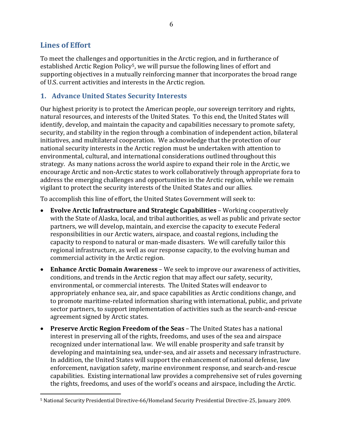## <span id="page-7-0"></span>**Lines of Effort**

To meet the challenges and opportunities in the Arctic region, and in furtherance of established Arctic Region Policy[5](#page-7-2), we will pursue the following lines of effort and supporting objectives in a mutually reinforcing manner that incorporates the broad range of U.S. current activities and interests in the Arctic region.

#### <span id="page-7-1"></span>**1. Advance United States Security Interests**

Our highest priority is to protect the American people, our sovereign territory and rights, natural resources, and interests of the United States. To this end, the United States will identify, develop, and maintain the capacity and capabilities necessary to promote safety, security, and stability in the region through a combination of independent action, bilateral initiatives, and multilateral cooperation. We acknowledge that the protection of our national security interests in the Arctic region must be undertaken with attention to environmental, cultural, and international considerations outlined throughout this strategy. As many nations across the world aspire to expand their role in the Arctic, we encourage Arctic and non-Arctic states to work collaboratively through appropriate fora to address the emerging challenges and opportunities in the Arctic region, while we remain vigilant to protect the security interests of the United States and our allies.

To accomplish this line of effort, the United States Government will seek to:

- **Evolve Arctic Infrastructure and Strategic Capabilities** Working cooperatively with the State of Alaska, local, and tribal authorities, as well as public and private sector partners, we will develop, maintain, and exercise the capacity to execute Federal responsibilities in our Arctic waters, airspace, and coastal regions, including the capacity to respond to natural or man-made disasters. We will carefully tailor this regional infrastructure, as well as our response capacity, to the evolving human and commercial activity in the Arctic region.
- **Enhance Arctic Domain Awareness** We seek to improve our awareness of activities, conditions, and trends in the Arctic region that may affect our safety, security, environmental, or commercial interests. The United States will endeavor to appropriately enhance sea, air, and space capabilities as Arctic conditions change, and to promote maritime-related information sharing with international, public, and private sector partners, to support implementation of activities such as the search-and-rescue agreement signed by Arctic states.
- **Preserve Arctic Region Freedom of the Seas** The United States has a national interest in preserving all of the rights, freedoms, and uses of the sea and airspace recognized under international law. We will enable prosperity and safe transit by developing and maintaining sea, under-sea, and air assets and necessary infrastructure. In addition, the United States will support the enhancement of national defense, law enforcement, navigation safety, marine environment response, and search-and-rescue capabilities. Existing international law provides a comprehensive set of rules governing the rights, freedoms, and uses of the world's oceans and airspace, including the Arctic.

<span id="page-7-2"></span>l <sup>5</sup> National Security Presidential Directive-66/Homeland Security Presidential Directive-25, January 2009.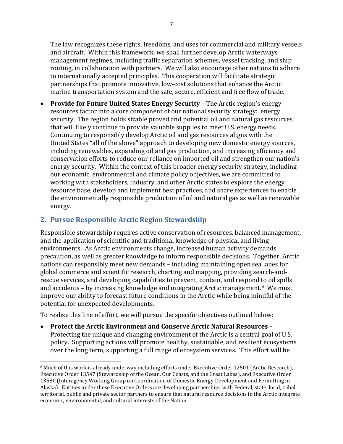The law recognizes these rights, freedoms, and uses for commercial and military vessels and aircraft. Within this framework, we shall further develop Arctic waterways management regimes, including traffic separation schemes, vessel tracking, and ship routing, in collaboration with partners. We will also encourage other nations to adhere to internationally accepted principles. This cooperation will facilitate strategic partnerships that promote innovative, low-cost solutions that enhance the Arctic marine transportation system and the safe, secure, efficient and free flow of trade.

• **Provide for Future United States Energy Security** – The Arctic region's energy resources factor into a core component of our national security strategy: energy security. The region holds sizable proved and potential oil and natural gas resources that will likely continue to provide valuable supplies to meet U.S. energy needs. Continuing to responsibly develop Arctic oil and gas resources aligns with the United States "all of the above" approach to developing new domestic energy sources, including renewables, expanding oil and gas production, and increasing efficiency and conservation efforts to reduce our reliance on imported oil and strengthen our nation's energy security. Within the context of this broader energy security strategy, including our economic, environmental and climate policy objectives, we are committed to working with stakeholders, industry, and other Arctic states to explore the energy resource base, develop and implement best practices, and share experiences to enable the environmentally responsible production of oil and natural gas as well as renewable energy.

#### <span id="page-8-0"></span>**2. Pursue Responsible Arctic Region Stewardship**

l

Responsible stewardship requires active conservation of resources, balanced management, and the application of scientific and traditional knowledge of physical and living environments. As Arctic environments change, increased human activity demands precaution, as well as greater knowledge to inform responsible decisions. Together, Arctic nations can responsibly meet new demands – including maintaining open sea lanes for global commerce and scientific research, charting and mapping, providing search-andrescue services, and developing capabilities to prevent, contain, and respond to oil spills and accidents – by increasing knowledge and integrating Arctic management.<sup>6</sup> We must improve our ability to forecast future conditions in the Arctic while being mindful of the potential for unexpected developments.

To realize this line of effort, we will pursue the specific objectives outlined below:

• **Protect the Arctic Environment and Conserve Arctic Natural Resources –** Protecting the unique and changing environment of the Arctic is a central goal of U.S. policy. Supporting actions will promote healthy, sustainable, and resilient ecosystems over the long term, supporting a full range of ecosystem services. This effort will be

<span id="page-8-1"></span><sup>6</sup> Much of this work is already underway including efforts under Executive Order 12501 (Arctic Research), Executive Order 13547 (Stewardship of the Ocean, Our Coasts, and the Great Lakes), and Executive Order 13580 (Interagency Working Group on Coordination of Domestic Energy Development and Permitting in Alaska). Entities under these Executive Orders are developing partnerships with Federal, state, local, tribal, territorial, public and private sector partners to ensure that natural resource decisions in the Arctic integrate economic, environmental, and cultural interests of the Nation.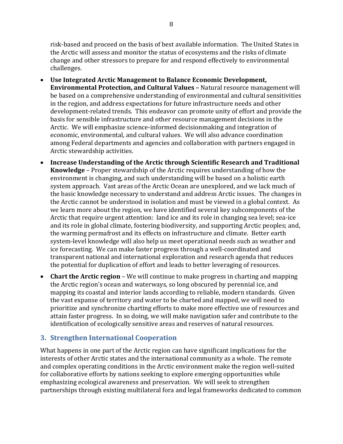risk-based and proceed on the basis of best available information. The United States in the Arctic will assess and monitor the status of ecosystems and the risks of climate change and other stressors to prepare for and respond effectively to environmental challenges.

- **Use Integrated Arctic Management to Balance Economic Development, Environmental Protection, and Cultural Values –** Natural resource management will be based on a comprehensive understanding of environmental and cultural sensitivities in the region, and address expectations for future infrastructure needs and other development-related trends. This endeavor can promote unity of effort and provide the basis for sensible infrastructure and other resource management decisions in the Arctic. We will emphasize science-informed decisionmaking and integration of economic, environmental, and cultural values. We will also advance coordination among Federal departments and agencies and collaboration with partners engaged in Arctic stewardship activities.
- **Increase Understanding of the Arctic through Scientific Research and Traditional Knowledge** – Proper stewardship of the Arctic requires understanding of how the environment is changing, and such understanding will be based on a holistic earth system approach. Vast areas of the Arctic Ocean are unexplored, and we lack much of the basic knowledge necessary to understand and address Arctic issues. The changes in the Arctic cannot be understood in isolation and must be viewed in a global context. As we learn more about the region, we have identified several key subcomponents of the Arctic that require urgent attention: land ice and its role in changing sea level; sea-ice and its role in global climate, fostering biodiversity, and supporting Arctic peoples; and, the warming permafrost and its effects on infrastructure and climate. Better earth system-level knowledge will also help us meet operational needs such as weather and ice forecasting. We can make faster progress through a well-coordinated and transparent national and international exploration and research agenda that reduces the potential for duplication of effort and leads to better leveraging of resources.
- **Chart the Arctic region** We will continue to make progress in charting and mapping the Arctic region's ocean and waterways, so long obscured by perennial ice, and mapping its coastal and interior lands according to reliable, modern standards. Given the vast expanse of territory and water to be charted and mapped, we will need to prioritize and synchronize charting efforts to make more effective use of resources and attain faster progress. In so doing, we will make navigation safer and contribute to the identification of ecologically sensitive areas and reserves of natural resources.

## <span id="page-9-0"></span>**3. Strengthen International Cooperation**

What happens in one part of the Arctic region can have significant implications for the interests of other Arctic states and the international community as a whole. The remote and complex operating conditions in the Arctic environment make the region well-suited for collaborative efforts by nations seeking to explore emerging opportunities while emphasizing ecological awareness and preservation. We will seek to strengthen partnerships through existing multilateral fora and legal frameworks dedicated to common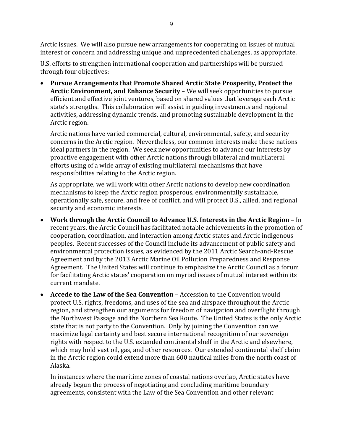Arctic issues. We will also pursue new arrangements for cooperating on issues of mutual interest or concern and addressing unique and unprecedented challenges, as appropriate.

U.S. efforts to strengthen international cooperation and partnerships will be pursued through four objectives:

• **Pursue Arrangements that Promote Shared Arctic State Prosperity, Protect the Arctic Environment, and Enhance Security** – We will seek opportunities to pursue efficient and effective joint ventures, based on shared values that leverage each Arctic state's strengths. This collaboration will assist in guiding investments and regional activities, addressing dynamic trends, and promoting sustainable development in the Arctic region.

Arctic nations have varied commercial, cultural, environmental, safety, and security concerns in the Arctic region. Nevertheless, our common interests make these nations ideal partners in the region. We seek new opportunities to advance our interests by proactive engagement with other Arctic nations through bilateral and multilateral efforts using of a wide array of existing multilateral mechanisms that have responsibilities relating to the Arctic region.

As appropriate, we will work with other Arctic nations to develop new coordination mechanisms to keep the Arctic region prosperous, environmentally sustainable, operationally safe, secure, and free of conflict, and will protect U.S., allied, and regional security and economic interests.

- **Work through the Arctic Council to Advance U.S. Interests in the Arctic Region** In recent years, the Arctic Council has facilitated notable achievements in the promotion of cooperation, coordination, and interaction among Arctic states and Arctic indigenous peoples. Recent successes of the Council include its advancement of public safety and environmental protection issues, as evidenced by the 2011 Arctic Search-and-Rescue Agreement and by the 2013 Arctic Marine Oil Pollution Preparedness and Response Agreement. The United States will continue to emphasize the Arctic Council as a forum for facilitating Arctic states' cooperation on myriad issues of mutual interest within its current mandate.
- **Accede to the Law of the Sea Convention** Accession to the Convention would protect U.S. rights, freedoms, and uses of the sea and airspace throughout the Arctic region, and strengthen our arguments for freedom of navigation and overflight through the Northwest Passage and the Northern Sea Route. The United States is the only Arctic state that is not party to the Convention. Only by joining the Convention can we maximize legal certainty and best secure international recognition of our sovereign rights with respect to the U.S. extended continental shelf in the Arctic and elsewhere, which may hold vast oil, gas, and other resources. Our extended continental shelf claim in the Arctic region could extend more than 600 nautical miles from the north coast of Alaska.

In instances where the maritime zones of coastal nations overlap, Arctic states have already begun the process of negotiating and concluding maritime boundary agreements, consistent with the Law of the Sea Convention and other relevant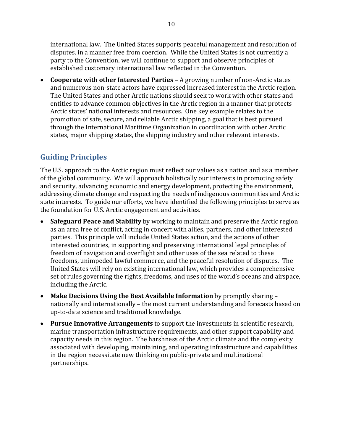international law. The United States supports peaceful management and resolution of disputes, in a manner free from coercion. While the United States is not currently a party to the Convention, we will continue to support and observe principles of established customary international law reflected in the Convention.

• **Cooperate with other Interested Parties –** A growing number of non-Arctic states and numerous non-state actors have expressed increased interest in the Arctic region. The United States and other Arctic nations should seek to work with other states and entities to advance common objectives in the Arctic region in a manner that protects Arctic states' national interests and resources. One key example relates to the promotion of safe, secure, and reliable Arctic shipping, a goal that is best pursued through the International Maritime Organization in coordination with other Arctic states, major shipping states, the shipping industry and other relevant interests.

# <span id="page-11-0"></span>**Guiding Principles**

The U.S. approach to the Arctic region must reflect our values as a nation and as a member of the global community. We will approach holistically our interests in promoting safety and security, advancing economic and energy development, protecting the environment, addressing climate change and respecting the needs of indigenous communities and Arctic state interests. To guide our efforts, we have identified the following principles to serve as the foundation for U.S. Arctic engagement and activities.

- **Safeguard Peace and Stability** by working to maintain and preserve the Arctic region as an area free of conflict, acting in concert with allies, partners, and other interested parties. This principle will include United States action, and the actions of other interested countries, in supporting and preserving international legal principles of freedom of navigation and overflight and other uses of the sea related to these freedoms, unimpeded lawful commerce, and the peaceful resolution of disputes. The United States will rely on existing international law, which provides a comprehensive set of rules governing the rights, freedoms, and uses of the world's oceans and airspace, including the Arctic.
- **Make Decisions Using the Best Available Information** by promptly sharing nationally and internationally – the most current understanding and forecasts based on up-to-date science and traditional knowledge.
- **Pursue Innovative Arrangements** to support the investments in scientific research, marine transportation infrastructure requirements, and other support capability and capacity needs in this region. The harshness of the Arctic climate and the complexity associated with developing, maintaining, and operating infrastructure and capabilities in the region necessitate new thinking on public-private and multinational partnerships.